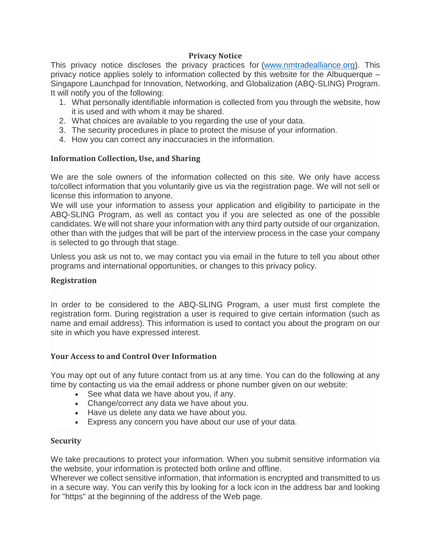# **Privacy Notice**

This privacy notice discloses the privacy practices for [\(www.nmtradealliance.org\)](http://www.nmtradealliance.org/). This privacy notice applies solely to information collected by this website for the Albuquerque – Singapore Launchpad for Innovation, Networking, and Globalization (ABQ-SLING) Program. It will notify you of the following:

- 1. What personally identifiable information is collected from you through the website, how it is used and with whom it may be shared.
- 2. What choices are available to you regarding the use of your data.
- 3. The security procedures in place to protect the misuse of your information.
- 4. How you can correct any inaccuracies in the information.

# **Information Collection, Use, and Sharing**

We are the sole owners of the information collected on this site. We only have access to/collect information that you voluntarily give us via the registration page. We will not sell or license this information to anyone.

We will use your information to assess your application and eligibility to participate in the ABQ-SLING Program, as well as contact you if you are selected as one of the possible candidates. We will not share your information with any third party outside of our organization, other than with the judges that will be part of the interview process in the case your company is selected to go through that stage.

Unless you ask us not to, we may contact you via email in the future to tell you about other programs and international opportunities, or changes to this privacy policy.

### **Registration**

In order to be considered to the ABQ-SLING Program, a user must first complete the registration form. During registration a user is required to give certain information (such as name and email address). This information is used to contact you about the program on our site in which you have expressed interest.

### **Your Access to and Control Over Information**

You may opt out of any future contact from us at any time. You can do the following at any time by contacting us via the email address or phone number given on our website:

- See what data we have about you, if any.
- Change/correct any data we have about you.
- Have us delete any data we have about you.
- Express any concern you have about our use of your data.

### **Security**

We take precautions to protect your information. When you submit sensitive information via the website, your information is protected both online and offline.

Wherever we collect sensitive information, that information is encrypted and transmitted to us in a secure way. You can verify this by looking for a lock icon in the address bar and looking for "https" at the beginning of the address of the Web page.